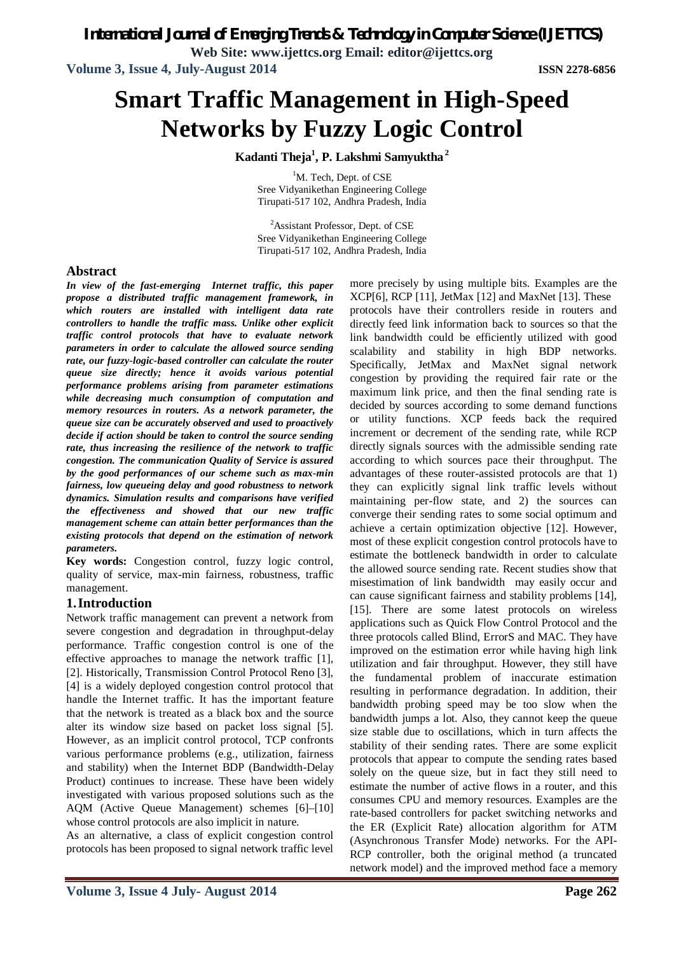*International Journal of Emerging Trends & Technology in Computer Science (IJETTCS)*

**Web Site: www.ijettcs.org Email: editor@ijettcs.org**

**Volume 3, Issue 4, July-August 2014 ISSN 2278-6856**

# **Smart Traffic Management in High-Speed Networks by Fuzzy Logic Control**

**Kadanti Theja<sup>1</sup> , P. Lakshmi Samyuktha <sup>2</sup>**

<sup>1</sup>M. Tech, Dept. of CSE Sree Vidyanikethan Engineering College Tirupati-517 102, Andhra Pradesh, India

<sup>2</sup>Assistant Professor, Dept. of CSE Sree Vidyanikethan Engineering College Tirupati-517 102, Andhra Pradesh, India

### **Abstract**

*In view of the fast-emerging Internet traffic, this paper propose a distributed traffic management framework, in which routers are installed with intelligent data rate controllers to handle the traffic mass. Unlike other explicit traffic control protocols that have to evaluate network parameters in order to calculate the allowed source sending rate, our fuzzy-logic-based controller can calculate the router queue size directly; hence it avoids various potential performance problems arising from parameter estimations while decreasing much consumption of computation and memory resources in routers. As a network parameter, the queue size can be accurately observed and used to proactively decide if action should be taken to control the source sending rate, thus increasing the resilience of the network to traffic congestion. The communication Quality of Service is assured by the good performances of our scheme such as max-min fairness, low queueing delay and good robustness to network dynamics. Simulation results and comparisons have verified the effectiveness and showed that our new traffic management scheme can attain better performances than the existing protocols that depend on the estimation of network parameters.*

**Key words:** Congestion control, fuzzy logic control, quality of service, max-min fairness, robustness, traffic management.

# **1.Introduction**

Network traffic management can prevent a network from severe congestion and degradation in throughput-delay performance. Traffic congestion control is one of the effective approaches to manage the network traffic [1], [2]. Historically, Transmission Control Protocol Reno [3], [4] is a widely deployed congestion control protocol that handle the Internet traffic. It has the important feature that the network is treated as a black box and the source alter its window size based on packet loss signal [5]. However, as an implicit control protocol, TCP confronts various performance problems (e.g., utilization, fairness and stability) when the Internet BDP (Bandwidth-Delay Product) continues to increase. These have been widely investigated with various proposed solutions such as the AQM (Active Queue Management) schemes [6]–[10] whose control protocols are also implicit in nature.

As an alternative, a class of explicit congestion control protocols has been proposed to signal network traffic level more precisely by using multiple bits. Examples are the XCP[6], RCP [11], JetMax [12] and MaxNet [13]. These protocols have their controllers reside in routers and directly feed link information back to sources so that the link bandwidth could be efficiently utilized with good scalability and stability in high BDP networks. Specifically, JetMax and MaxNet signal network congestion by providing the required fair rate or the maximum link price, and then the final sending rate is decided by sources according to some demand functions or utility functions. XCP feeds back the required increment or decrement of the sending rate, while RCP directly signals sources with the admissible sending rate according to which sources pace their throughput. The advantages of these router-assisted protocols are that 1) they can explicitly signal link traffic levels without maintaining per-flow state, and 2) the sources can converge their sending rates to some social optimum and achieve a certain optimization objective [12]. However, most of these explicit congestion control protocols have to estimate the bottleneck bandwidth in order to calculate the allowed source sending rate. Recent studies show that misestimation of link bandwidth may easily occur and can cause significant fairness and stability problems [14], [15]. There are some latest protocols on wireless applications such as Quick Flow Control Protocol and the three protocols called Blind, ErrorS and MAC. They have improved on the estimation error while having high link utilization and fair throughput. However, they still have the fundamental problem of inaccurate estimation resulting in performance degradation. In addition, their bandwidth probing speed may be too slow when the bandwidth jumps a lot. Also, they cannot keep the queue size stable due to oscillations, which in turn affects the stability of their sending rates. There are some explicit protocols that appear to compute the sending rates based solely on the queue size, but in fact they still need to estimate the number of active flows in a router, and this consumes CPU and memory resources. Examples are the rate-based controllers for packet switching networks and the ER (Explicit Rate) allocation algorithm for ATM (Asynchronous Transfer Mode) networks. For the API-RCP controller, both the original method (a truncated network model) and the improved method face a memory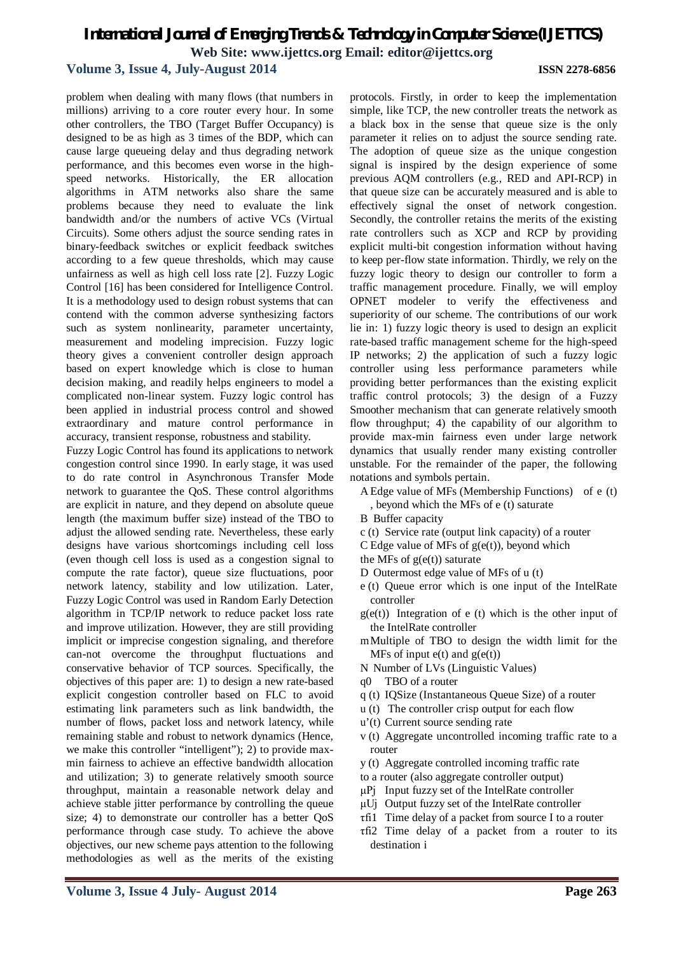### **Volume 3, Issue 4, July-August 2014 ISSN 2278-6856**

problem when dealing with many flows (that numbers in millions) arriving to a core router every hour. In some other controllers, the TBO (Target Buffer Occupancy) is designed to be as high as 3 times of the BDP, which can cause large queueing delay and thus degrading network performance, and this becomes even worse in the highspeed networks. Historically, the ER allocation algorithms in ATM networks also share the same problems because they need to evaluate the link bandwidth and/or the numbers of active VCs (Virtual Circuits). Some others adjust the source sending rates in binary-feedback switches or explicit feedback switches according to a few queue thresholds, which may cause unfairness as well as high cell loss rate [2]. Fuzzy Logic Control [16] has been considered for Intelligence Control. It is a methodology used to design robust systems that can contend with the common adverse synthesizing factors such as system nonlinearity, parameter uncertainty, measurement and modeling imprecision. Fuzzy logic theory gives a convenient controller design approach based on expert knowledge which is close to human decision making, and readily helps engineers to model a complicated non-linear system. Fuzzy logic control has been applied in industrial process control and showed extraordinary and mature control performance in accuracy, transient response, robustness and stability.

Fuzzy Logic Control has found its applications to network congestion control since 1990. In early stage, it was used to do rate control in Asynchronous Transfer Mode network to guarantee the QoS. These control algorithms are explicit in nature, and they depend on absolute queue length (the maximum buffer size) instead of the TBO to adjust the allowed sending rate. Nevertheless, these early designs have various shortcomings including cell loss (even though cell loss is used as a congestion signal to compute the rate factor), queue size fluctuations, poor network latency, stability and low utilization. Later, Fuzzy Logic Control was used in Random Early Detection algorithm in TCP/IP network to reduce packet loss rate and improve utilization. However, they are still providing implicit or imprecise congestion signaling, and therefore can-not overcome the throughput fluctuations and conservative behavior of TCP sources. Specifically, the objectives of this paper are: 1) to design a new rate-based explicit congestion controller based on FLC to avoid estimating link parameters such as link bandwidth, the number of flows, packet loss and network latency, while remaining stable and robust to network dynamics (Hence, we make this controller "intelligent"); 2) to provide maxmin fairness to achieve an effective bandwidth allocation and utilization; 3) to generate relatively smooth source throughput, maintain a reasonable network delay and achieve stable jitter performance by controlling the queue size; 4) to demonstrate our controller has a better QoS performance through case study. To achieve the above objectives, our new scheme pays attention to the following methodologies as well as the merits of the existing protocols. Firstly, in order to keep the implementation simple, like TCP, the new controller treats the network as a black box in the sense that queue size is the only parameter it relies on to adjust the source sending rate. The adoption of queue size as the unique congestion signal is inspired by the design experience of some previous AQM controllers (e.g., RED and API-RCP) in that queue size can be accurately measured and is able to effectively signal the onset of network congestion. Secondly, the controller retains the merits of the existing rate controllers such as XCP and RCP by providing explicit multi-bit congestion information without having to keep per-flow state information. Thirdly, we rely on the fuzzy logic theory to design our controller to form a traffic management procedure. Finally, we will employ OPNET modeler to verify the effectiveness and superiority of our scheme. The contributions of our work lie in: 1) fuzzy logic theory is used to design an explicit rate-based traffic management scheme for the high-speed IP networks; 2) the application of such a fuzzy logic controller using less performance parameters while providing better performances than the existing explicit traffic control protocols; 3) the design of a Fuzzy Smoother mechanism that can generate relatively smooth flow throughput; 4) the capability of our algorithm to provide max-min fairness even under large network dynamics that usually render many existing controller unstable. For the remainder of the paper, the following notations and symbols pertain.

- A Edge value of MFs (Membership Functions) of e (t)
	- , beyond which the MFs of e (t) saturate
- B Buffer capacity
- c (t) Service rate (output link capacity) of a router
- C Edge value of MFs of  $g(e(t))$ , beyond which
- the MFs of  $g(e(t))$  saturate
- D Outermost edge value of MFs of u (t)
- e (t) Queue error which is one input of the IntelRate controller
- $g(e(t))$  Integration of e (t) which is the other input of the IntelRate controller
- mMultiple of TBO to design the width limit for the MFs of input  $e(t)$  and  $g(e(t))$
- N Number of LVs (Linguistic Values)
- q0 TBO of a router
- q (t) IQSize (Instantaneous Queue Size) of a router
- u (t) The controller crisp output for each flow
- u'(t) Current source sending rate
- v (t) Aggregate uncontrolled incoming traffic rate to a router
- y (t) Aggregate controlled incoming traffic rate
- to a router (also aggregate controller output)
- μPj Input fuzzy set of the IntelRate controller
- μUj Output fuzzy set of the IntelRate controller
- τfi1 Time delay of a packet from source I to a router
- τfi2 Time delay of a packet from a router to its destination i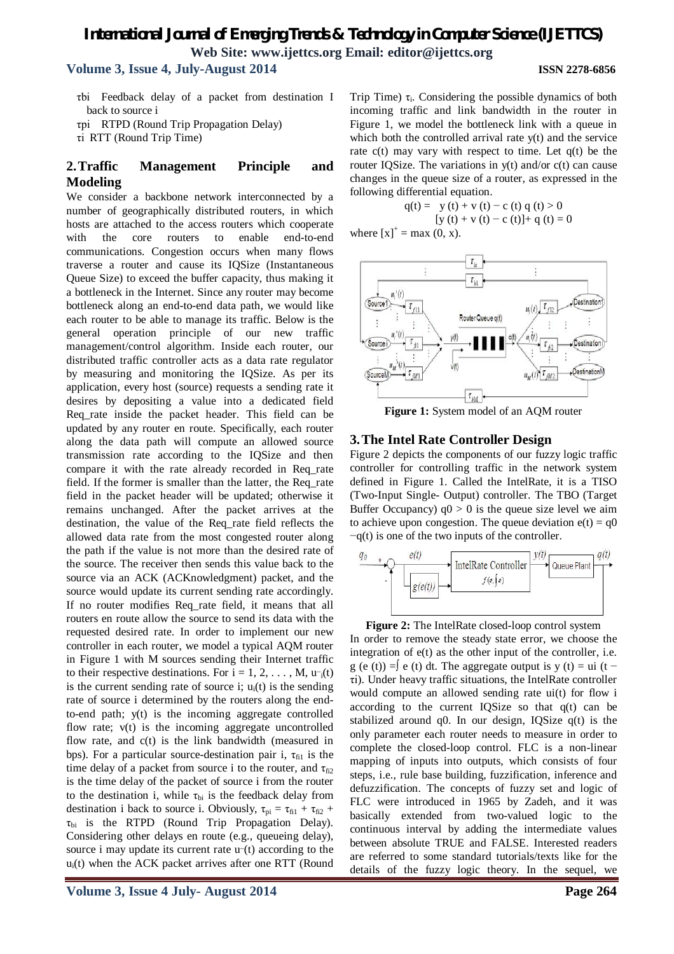# *International Journal of Emerging Trends & Technology in Computer Science (IJETTCS)* **Web Site: www.ijettcs.org Email: editor@ijettcs.org Volume 3, Issue 4, July-August 2014 ISSN 2278-6856**

τbi Feedback delay of a packet from destination I back to source i

τpi RTPD (Round Trip Propagation Delay)

τi RTT (Round Trip Time)

### **2.Traffic Management Principle and Modeling**

We consider a backbone network interconnected by a number of geographically distributed routers, in which hosts are attached to the access routers which cooperate with the core routers to enable end-to-end communications. Congestion occurs when many flows traverse a router and cause its IQSize (Instantaneous Queue Size) to exceed the buffer capacity, thus making it a bottleneck in the Internet. Since any router may become bottleneck along an end-to-end data path, we would like each router to be able to manage its traffic. Below is the general operation principle of our new traffic management/control algorithm. Inside each router, our distributed traffic controller acts as a data rate regulator by measuring and monitoring the IQSize. As per its application, every host (source) requests a sending rate it desires by depositing a value into a dedicated field Req\_rate inside the packet header. This field can be updated by any router en route. Specifically, each router along the data path will compute an allowed source transmission rate according to the IQSize and then compare it with the rate already recorded in Req\_rate field. If the former is smaller than the latter, the Req\_rate field in the packet header will be updated; otherwise it remains unchanged. After the packet arrives at the destination, the value of the Req\_rate field reflects the allowed data rate from the most congested router along the path if the value is not more than the desired rate of the source. The receiver then sends this value back to the source via an ACK (ACKnowledgment) packet, and the source would update its current sending rate accordingly. If no router modifies Req rate field, it means that all routers en route allow the source to send its data with the requested desired rate. In order to implement our new controller in each router, we model a typical AQM router in Figure 1 with M sources sending their Internet traffic to their respective destinations. For  $i = 1, 2, ..., M$ ,  $u_{i}(t)$ is the current sending rate of source i;  $u_i(t)$  is the sending rate of source i determined by the routers along the endto-end path; y(t) is the incoming aggregate controlled flow rate; v(t) is the incoming aggregate uncontrolled flow rate, and c(t) is the link bandwidth (measured in bps). For a particular source-destination pair i,  $\tau_{\text{fil}}$  is the time delay of a packet from source i to the router, and  $\tau_{\text{fi2}}$ is the time delay of the packet of source i from the router to the destination i, while  $\tau_{bi}$  is the feedback delay from destination i back to source i. Obviously,  $\tau_{pi} = \tau_{fi1} + \tau_{fi2} +$  $\tau_{bi}$  is the RTPD (Round Trip Propagation Delay). Considering other delays en route (e.g., queueing delay), source i may update its current rate u<sup>-(t)</sup> according to the  $u_i(t)$  when the ACK packet arrives after one RTT (Round

Trip Time)  $\tau_i$ . Considering the possible dynamics of both incoming traffic and link bandwidth in the router in Figure 1, we model the bottleneck link with a queue in which both the controlled arrival rate y(t) and the service rate  $c(t)$  may vary with respect to time. Let  $q(t)$  be the router IQSize. The variations in  $y(t)$  and/or  $c(t)$  can cause changes in the queue size of a router, as expressed in the following differential equation.

> $q(t) = y(t) + v(t) - c(t) q(t) > 0$  $[y (t) + v (t) - c (t)] + q (t) = 0$

where  $[x]^{+} = max(0, x)$ .



**Figure 1:** System model of an AQM router

#### **3.The Intel Rate Controller Design**

Figure 2 depicts the components of our fuzzy logic traffic controller for controlling traffic in the network system defined in Figure 1. Called the IntelRate, it is a TISO (Two-Input Single- Output) controller. The TBO (Target Buffer Occupancy)  $q0 > 0$  is the queue size level we aim to achieve upon congestion. The queue deviation  $e(t) = q0$ −q(t) is one of the two inputs of the controller.



**Figure 2:** The IntelRate closed-loop control system In order to remove the steady state error, we choose the integration of  $e(t)$  as the other input of the controller, i.e. g (e (t)) =∫ e (t) dt. The aggregate output is y (t) = ui (t – τi). Under heavy traffic situations, the IntelRate controller would compute an allowed sending rate ui(t) for flow i according to the current IQSize so that  $q(t)$  can be stabilized around q0. In our design, IQSize q(t) is the only parameter each router needs to measure in order to complete the closed-loop control. FLC is a non-linear mapping of inputs into outputs, which consists of four steps, i.e., rule base building, fuzzification, inference and defuzzification. The concepts of fuzzy set and logic of FLC were introduced in 1965 by Zadeh, and it was basically extended from two-valued logic to the continuous interval by adding the intermediate values between absolute TRUE and FALSE. Interested readers are referred to some standard tutorials/texts like for the details of the fuzzy logic theory. In the sequel, we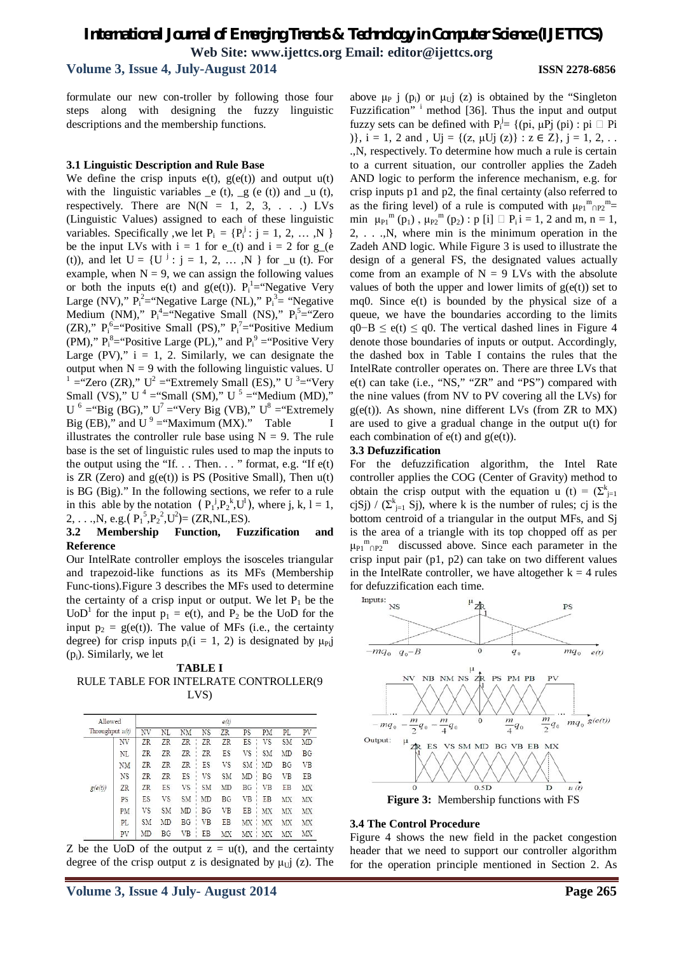**Volume 3, Issue 4, July-August 2014 ISSN 2278-6856**

formulate our new con-troller by following those four steps along with designing the fuzzy linguistic descriptions and the membership functions.

#### **3.1 Linguistic Description and Rule Base**

We define the crisp inputs  $e(t)$ ,  $g(e(t))$  and output  $u(t)$ with the linguistic variables  $_e$  (t),  $_g$  (e (t)) and  $_u$  (t), respectively. There are  $N(N = 1, 2, 3, ...)$  LVs (Linguistic Values) assigned to each of these linguistic variables. Specifically, we let  $P_i = \{P_i^j : j = 1, 2, ..., N\}$ be the input LVs with  $i = 1$  for  $e_-(t)$  and  $i = 2$  for  $g_-(e)$ (t)), and let  $U = \{U^j : j = 1, 2, ..., N\}$  for  $\mu$  (t). For example, when  $N = 9$ , we can assign the following values or both the inputs  $e(t)$  and  $g(e(t))$ .  $P_i^1 = \text{``Negative Very}$ Large (NV),"  $P_i^2$ = "Negative Large (NL),"  $P_i^3$ = "Negative Medium (NM),"  $P_i^4$ = "Negative Small (NS),"  $P_i^5$ = "Zero (ZR),"  $P_i^6$ = "Positive Small (PS),"  $P_i^7$ = "Positive Medium (PM),"  $P_i^8$ = "Positive Large (PL)," and  $P_i^9$  = "Positive Very Large  $(PV)$ ,"  $i = 1, 2$ . Similarly, we can designate the output when  $N = 9$  with the following linguistic values. U <sup>1</sup> = "Zero (ZR),"  $U^2$  = "Extremely Small (ES),"  $U^3$  = "Very Small (VS),"  $U^4 =$ "Small (SM),"  $U^5 =$ "Medium (MD)," U<sup>6</sup> = "Big (BG)," U<sup>7</sup> = "Very Big (VB)," U<sup>8</sup> = "Extremely Big (EB)," and  $U^9$  = "Maximum (MX)." Table I illustrates the controller rule base using  $N = 9$ . The rule base is the set of linguistic rules used to map the inputs to the output using the "If.  $\ldots$  Then.  $\ldots$  " format, e.g. "If  $e(t)$ is ZR (Zero) and  $g(e(t))$  is PS (Positive Small), Then  $u(t)$ is BG (Big)." In the following sections, we refer to a rule in this able by the notation  $(P_1^j, P_2^k, U^1)$ , where j, k, l = 1, 2, . . .,N, e.g.( $P_1^5$ , $P_2^2$ , $U^2$ )= (ZR,NL,ES).

#### **3.2 Membership Function, Fuzzification and Reference**

Our IntelRate controller employs the isosceles triangular and trapezoid-like functions as its MFs (Membership Func-tions).Figure 3 describes the MFs used to determine the certainty of a crisp input or output. We let  $P_1$  be the UoD<sup>1</sup> for the input  $p_1 = e(t)$ , and  $P_2$  be the UoD for the input  $p_2 = g(e(t))$ . The value of MFs (i.e., the certainty degree) for crisp inputs  $p_i(i = 1, 2)$  is designated by  $\mu_{Pi}$ (pi). Similarly, we let

**TABLE I** RULE TABLE FOR INTELRATE CONTROLLER(9 LVS)

| Allowed<br>Throughput $u(t)$<br>NV |           | e(t)      |           |           |           |           |           |           |           |           |
|------------------------------------|-----------|-----------|-----------|-----------|-----------|-----------|-----------|-----------|-----------|-----------|
|                                    |           | NV        | NL        | NM        | <b>NS</b> | ZR        | PS        | PM        | PL        | PV        |
|                                    |           | ZR        | ZR        | ZR        | ZR        | ZR        | ES        | VS        | <b>SM</b> | MD        |
|                                    | NL        | ZR        | ZR        | ZR        | <b>ZR</b> | ES        | VS        | <b>SM</b> | MD        | BG        |
|                                    | NΜ        | ZR.       | ZR        | ZR        | ES        | VS        | <b>SM</b> | MD        | <b>BG</b> | <b>VB</b> |
|                                    | <b>NS</b> | ZR        | ZR        | <b>ES</b> | VS        | <b>SM</b> | MD        | BG        | <b>VB</b> | EB        |
| g(e(t))                            | ZR        | ZR        | ES        | VS        | <b>SM</b> | MD        | <b>BG</b> | <b>VB</b> | EB        | MX        |
|                                    | PS        | ES        | VS        | <b>SM</b> | MD        | BG        | VB        | EB        | MX        | MX        |
|                                    | PM        | VS        | <b>SM</b> | MD        | ΒG        | VB        | EB        | MX        | MX        | MX        |
|                                    | PL        | <b>SM</b> | MD        | <b>BG</b> | VB        | EB        | MX        | MX        | MX        | MX        |
|                                    | pv        | MD        | <b>BG</b> | <b>VB</b> | EB        | МX        | МX        | <b>MX</b> | MX        | MX        |

Z be the UoD of the output  $z = u(t)$ , and the certainty degree of the crisp output z is designated by  $\mu_{U}$ j (z). The above  $\mu_P$  j (p<sub>i</sub>) or  $\mu_U$ j (z) is obtained by the "Singleton Fuzzification" <sup>i</sup> method [36]. Thus the input and output fuzzy sets can be defined with  $P_i^j = \{(pi, \mu Pj (pi) : pi \square Pi$ )},  $i = 1, 2$  and ,  $Uj = \{(z, \mu Uj(z) \} : z \in \mathbb{Z}\}, j = 1, 2, ...$ .,N, respectively. To determine how much a rule is certain to a current situation, our controller applies the Zadeh AND logic to perform the inference mechanism, e.g. for crisp inputs p1 and p2, the final certainty (also referred to as the firing level) of a rule is computed with  $\mu_{P1}^m n_{P2}^m =$ min  $\mu_{P1}^{m}(p_1)$ ,  $\mu_{P2}^{m}(p_2)$ :  $p[i] \square P_i$  i = 1, 2 and m, n = 1, 2, . . .,N, where min is the minimum operation in the Zadeh AND logic. While Figure 3 is used to illustrate the design of a general FS, the designated values actually come from an example of  $N = 9$  LVs with the absolute values of both the upper and lower limits of  $g(e(t))$  set to mq0. Since e(t) is bounded by the physical size of a queue, we have the boundaries according to the limits  $q0-B \le e(t) \le q0$ . The vertical dashed lines in Figure 4 denote those boundaries of inputs or output. Accordingly, the dashed box in Table I contains the rules that the IntelRate controller operates on. There are three LVs that e(t) can take (i.e., "NS," "ZR" and "PS") compared with the nine values (from NV to PV covering all the LVs) for  $g(e(t))$ . As shown, nine different LVs (from ZR to MX) are used to give a gradual change in the output u(t) for each combination of  $e(t)$  and  $g(e(t))$ .

#### **3.3 Defuzzification**

For the defuzzification algorithm, the Intel Rate controller applies the COG (Center of Gravity) method to obtain the crisp output with the equation u (t) =  $(\Sigma_{j=1}^k)$ cjSj) /  $(\sum_{j=1}^{k} S_j)$ , where k is the number of rules; cj is the bottom centroid of a triangular in the output MFs, and Sj is the area of a triangle with its top chopped off as per  $\mu_{P1}^{m}$  only discussed above. Since each parameter in the crisp input pair (p1, p2) can take on two different values in the IntelRate controller, we have altogether  $k = 4$  rules for defuzzification each time.



#### **3.4 The Control Procedure**

Figure 4 shows the new field in the packet congestion header that we need to support our controller algorithm for the operation principle mentioned in Section 2. As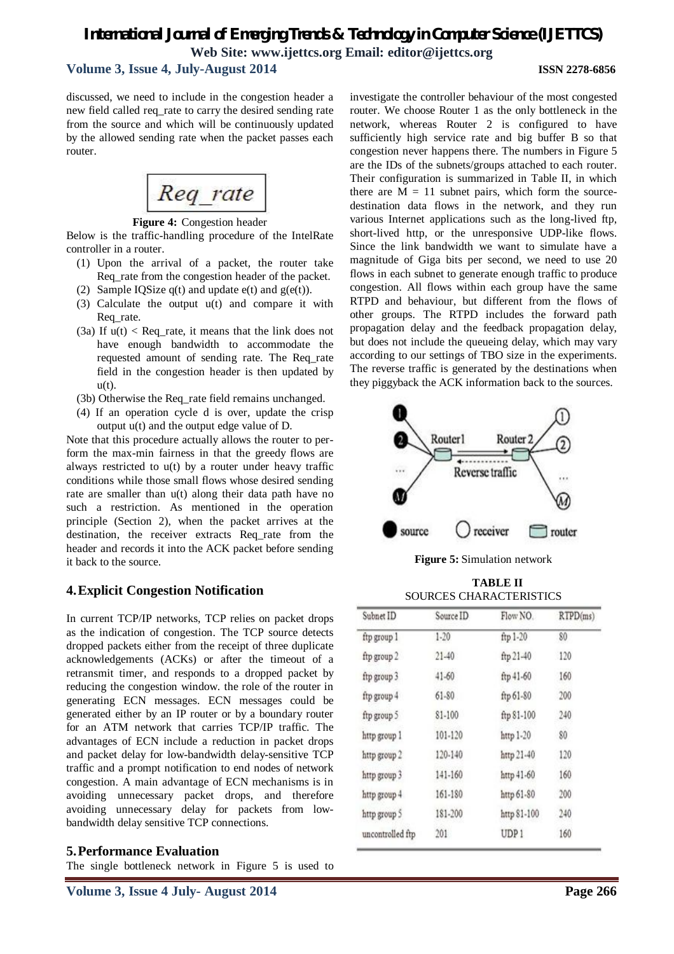# **Volume 3, Issue 4, July-August 2014 ISSN 2278-6856**

discussed, we need to include in the congestion header a new field called req\_rate to carry the desired sending rate from the source and which will be continuously updated by the allowed sending rate when the packet passes each router.



**Figure 4:** Congestion header

Below is the traffic-handling procedure of the IntelRate controller in a router.

- (1) Upon the arrival of a packet, the router take Req\_rate from the congestion header of the packet.
- (2) Sample IQSize  $q(t)$  and update  $e(t)$  and  $g(e(t))$ .
- (3) Calculate the output u(t) and compare it with Req rate.
- (3a) If  $u(t) <$  Req\_rate, it means that the link does not have enough bandwidth to accommodate the requested amount of sending rate. The Req\_rate field in the congestion header is then updated by  $u(t)$ .
- (3b) Otherwise the Req\_rate field remains unchanged.
- (4) If an operation cycle d is over, update the crisp output u(t) and the output edge value of D.

Note that this procedure actually allows the router to perform the max-min fairness in that the greedy flows are always restricted to u(t) by a router under heavy traffic conditions while those small flows whose desired sending rate are smaller than u(t) along their data path have no such a restriction. As mentioned in the operation principle (Section 2), when the packet arrives at the destination, the receiver extracts Req\_rate from the header and records it into the ACK packet before sending it back to the source.

# **4.Explicit Congestion Notification**

In current TCP/IP networks, TCP relies on packet drops as the indication of congestion. The TCP source detects dropped packets either from the receipt of three duplicate acknowledgements (ACKs) or after the timeout of a retransmit timer, and responds to a dropped packet by reducing the congestion window. the role of the router in generating ECN messages. ECN messages could be generated either by an IP router or by a boundary router for an ATM network that carries TCP/IP traffic. The advantages of ECN include a reduction in packet drops and packet delay for low-bandwidth delay-sensitive TCP traffic and a prompt notification to end nodes of network congestion. A main advantage of ECN mechanisms is in avoiding unnecessary packet drops, and therefore avoiding unnecessary delay for packets from lowbandwidth delay sensitive TCP connections.

#### **5.Performance Evaluation**

The single bottleneck network in Figure 5 is used to

investigate the controller behaviour of the most congested router. We choose Router 1 as the only bottleneck in the network, whereas Router 2 is configured to have sufficiently high service rate and big buffer B so that congestion never happens there. The numbers in Figure 5 are the IDs of the subnets/groups attached to each router. Their configuration is summarized in Table II, in which there are  $M = 11$  subnet pairs, which form the sourcedestination data flows in the network, and they run various Internet applications such as the long-lived ftp, short-lived http, or the unresponsive UDP-like flows. Since the link bandwidth we want to simulate have a magnitude of Giga bits per second, we need to use 20 flows in each subnet to generate enough traffic to produce congestion. All flows within each group have the same RTPD and behaviour, but different from the flows of other groups. The RTPD includes the forward path propagation delay and the feedback propagation delay, but does not include the queueing delay, which may vary according to our settings of TBO size in the experiments. The reverse traffic is generated by the destinations when they piggyback the ACK information back to the sources.



**Figure 5:** Simulation network

| <b>TABLE II</b>                |
|--------------------------------|
| <b>SOURCES CHARACTERISTICS</b> |

| Subnet ID        | Source ID | Flow NO.         | RTPD(ms) |  |
|------------------|-----------|------------------|----------|--|
| ftp group 1      | $1 - 20$  | ftp 1-20         | 80       |  |
| ftp group 2      | $21 - 40$ | ftp 21-40        | 120      |  |
| ftp group 3      | $41 - 60$ | ftp 41-60        | 160      |  |
| ftp group 4      | $61 - 80$ | ftp 61-80        | 200      |  |
| ftp group 5      | 81-100    | ftp 81-100       | 240      |  |
| http group 1     | 101-120   | http 1-20        | 80       |  |
| http group 2     | 120-140   | http 21-40       | 120      |  |
| http group 3     | 141-160   | http 41-60       | 160      |  |
| http group 4     | 161-180   | http 61-80       | 200      |  |
| http group 5     | 181-200   | http 81-100      | 240      |  |
| uncontrolled ftp | 201       | UDP <sub>1</sub> | 160      |  |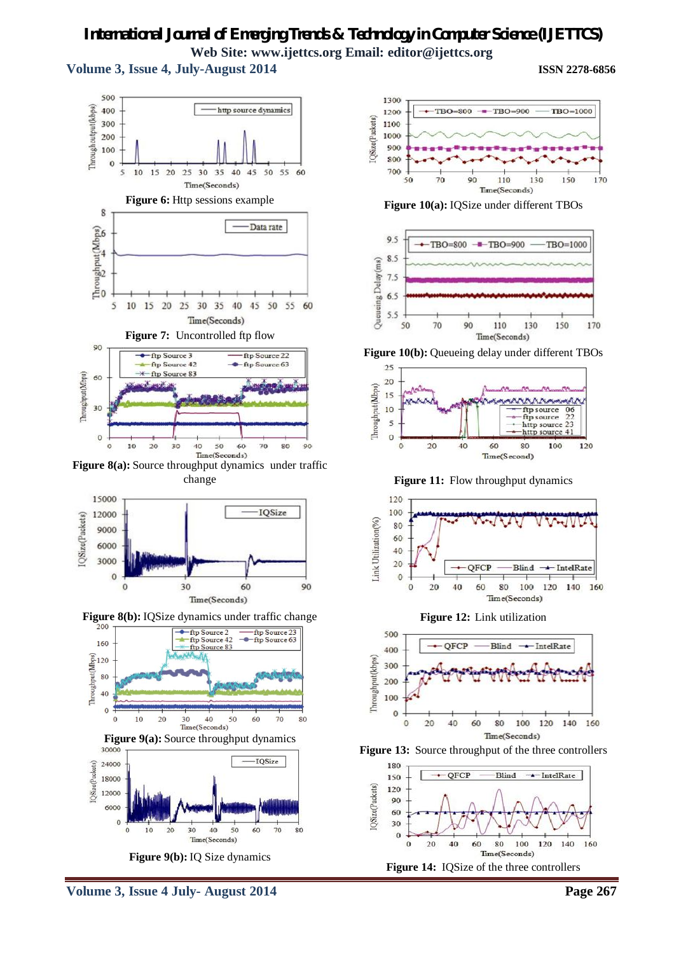**Volume 3, Issue 4, July-August 2014 ISSN 2278-6856**



Time(Seconds) **Figure 8(a):** Source throughput dynamics under traffic change



**Figure 8(b):** IQSize dynamics under traffic change



**Figure 9(b):** IQ Size dynamics



**Figure 10(a):** IQSize under different TBOs



**Figure 10(b):** Queueing delay under different TBOs



**Figure 11:** Flow throughput dynamics



**Figure 12:** Link utilization